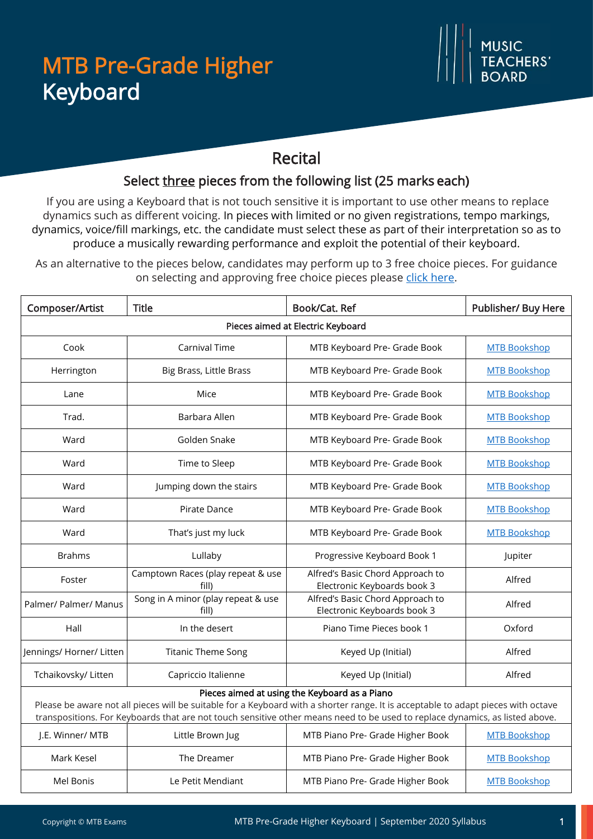## MTB Pre-Grade Higher MTB Pre-Grade Higher Keyboard Keyboard

### Recital

#### Select three pieces from the following list (25 marks each)

If you are using a Keyboard that is not touch sensitive it is important to use other means to replace dynamics such as different voicing. In pieces with limited or no given registrations, tempo markings, dynamics, voice/fill markings, etc. the candidate must select these as part of their interpretation so as to produce a musically rewarding performance and exploit the potential of their keyboard.

As an alternative to the pieces below, candidates may perform up to 3 free choice pieces. For guidance on selecting and approving free choice pieces please [click here.](https://www.mtbexams.com/how-it-works/free-choice-pieces-guidance/)

| Composer/Artist                                                                                                                                                                                                                                                                                                    | <b>Title</b>                                | Book/Cat. Ref                                                   | Publisher/ Buy Here |  |  |
|--------------------------------------------------------------------------------------------------------------------------------------------------------------------------------------------------------------------------------------------------------------------------------------------------------------------|---------------------------------------------|-----------------------------------------------------------------|---------------------|--|--|
| Pieces aimed at Electric Keyboard                                                                                                                                                                                                                                                                                  |                                             |                                                                 |                     |  |  |
| Cook                                                                                                                                                                                                                                                                                                               | Carnival Time                               | MTB Keyboard Pre- Grade Book                                    | <b>MTB Bookshop</b> |  |  |
| Herrington                                                                                                                                                                                                                                                                                                         | Big Brass, Little Brass                     | MTB Keyboard Pre- Grade Book                                    | <b>MTB Bookshop</b> |  |  |
| Lane                                                                                                                                                                                                                                                                                                               | Mice                                        | MTB Keyboard Pre- Grade Book                                    | <b>MTB Bookshop</b> |  |  |
| Trad.                                                                                                                                                                                                                                                                                                              | Barbara Allen                               | MTB Keyboard Pre- Grade Book                                    | <b>MTB Bookshop</b> |  |  |
| Ward                                                                                                                                                                                                                                                                                                               | Golden Snake                                | MTB Keyboard Pre- Grade Book                                    | <b>MTB Bookshop</b> |  |  |
| Ward                                                                                                                                                                                                                                                                                                               | Time to Sleep                               | MTB Keyboard Pre- Grade Book                                    | <b>MTB Bookshop</b> |  |  |
| Ward                                                                                                                                                                                                                                                                                                               | Jumping down the stairs                     | MTB Keyboard Pre- Grade Book                                    | <b>MTB Bookshop</b> |  |  |
| Ward                                                                                                                                                                                                                                                                                                               | Pirate Dance                                | MTB Keyboard Pre- Grade Book                                    | <b>MTB Bookshop</b> |  |  |
| Ward                                                                                                                                                                                                                                                                                                               | That's just my luck                         | MTB Keyboard Pre- Grade Book                                    | <b>MTB Bookshop</b> |  |  |
| <b>Brahms</b>                                                                                                                                                                                                                                                                                                      | Lullaby                                     | Progressive Keyboard Book 1                                     | Jupiter             |  |  |
| Foster                                                                                                                                                                                                                                                                                                             | Camptown Races (play repeat & use<br>fill)  | Alfred's Basic Chord Approach to<br>Electronic Keyboards book 3 | Alfred              |  |  |
| Palmer/ Palmer/ Manus                                                                                                                                                                                                                                                                                              | Song in A minor (play repeat & use<br>fill) | Alfred's Basic Chord Approach to<br>Electronic Keyboards book 3 | Alfred              |  |  |
| Hall                                                                                                                                                                                                                                                                                                               | In the desert                               | Piano Time Pieces book 1                                        | Oxford              |  |  |
| Jennings/ Horner/ Litten                                                                                                                                                                                                                                                                                           | <b>Titanic Theme Song</b>                   | Keyed Up (Initial)                                              | Alfred              |  |  |
| Tchaikovsky/ Litten                                                                                                                                                                                                                                                                                                | Capriccio Italienne                         | Keyed Up (Initial)                                              | Alfred              |  |  |
| Pieces aimed at using the Keyboard as a Piano<br>Please be aware not all pieces will be suitable for a Keyboard with a shorter range. It is acceptable to adapt pieces with octave<br>transpositions. For Keyboards that are not touch sensitive other means need to be used to replace dynamics, as listed above. |                                             |                                                                 |                     |  |  |
| J.E. Winner/ MTB                                                                                                                                                                                                                                                                                                   | Little Brown Jug                            | MTB Piano Pre- Grade Higher Book                                | <b>MTB Bookshop</b> |  |  |
| Mark Kesel                                                                                                                                                                                                                                                                                                         | The Dreamer                                 | MTB Piano Pre- Grade Higher Book                                | <b>MTB Bookshop</b> |  |  |
| Mel Bonis                                                                                                                                                                                                                                                                                                          | Le Petit Mendiant                           | MTB Piano Pre- Grade Higher Book                                | <b>MTB Bookshop</b> |  |  |